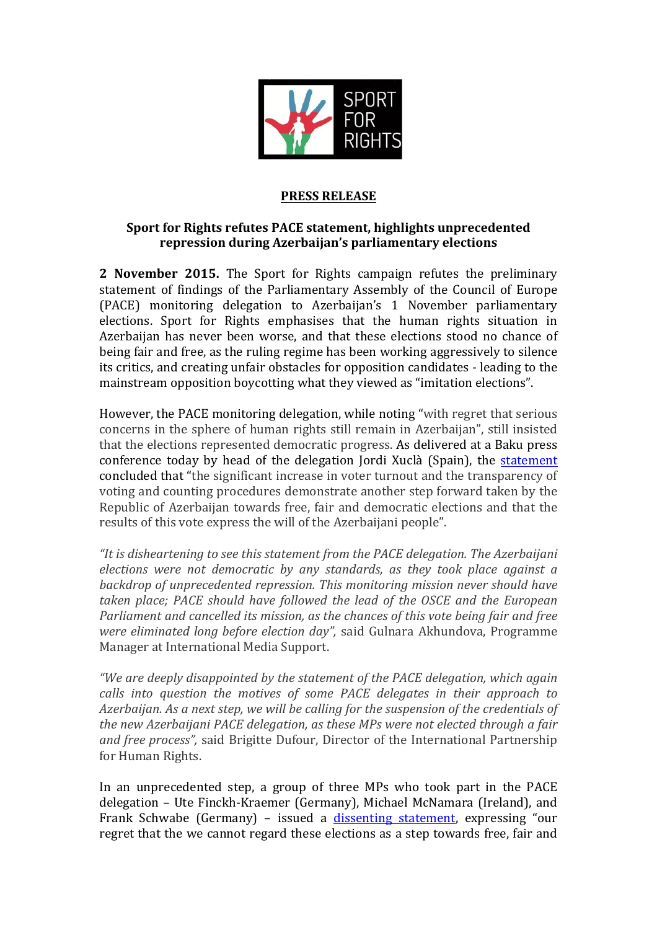

## **PRESS RELEASE**

## **Sport for Rights refutes PACE statement, highlights unprecedented repression during Azerbaijan's parliamentary elections**

**2** November 2015. The Sport for Rights campaign refutes the preliminary statement of findings of the Parliamentary Assembly of the Council of Europe (PACE) monitoring delegation to Azerbaijan's 1 November parliamentary elections. Sport for Rights emphasises that the human rights situation in Azerbaijan has never been worse, and that these elections stood no chance of being fair and free, as the ruling regime has been working aggressively to silence its critics, and creating unfair obstacles for opposition candidates - leading to the mainstream opposition boycotting what they viewed as "imitation elections".

However, the PACE monitoring delegation, while noting "with regret that serious concerns in the sphere of human rights still remain in Azerbaijan", still insisted that the elections represented democratic progress. As delivered at a Baku press conference today by head of the delegation Jordi Xuclà (Spain), the statement concluded that "the significant increase in voter turnout and the transparency of voting and counting procedures demonstrate another step forward taken by the Republic of Azerbaijan towards free, fair and democratic elections and that the results of this vote express the will of the Azerbaijani people".

"It is disheartening to see this statement from the PACE delegation. The Azerbaijani *elections were not democratic by any standards, as they took place against a backdrop* of unprecedented repression. This monitoring mission never should have taken place; PACE should have followed the lead of the OSCE and the European *Parliament and cancelled its mission, as the chances of this vote being fair and free were eliminated long before election day"*, said Gulnara Akhundova, Programme Manager at International Media Support.

*"We are deeply disappointed by the statement of the PACE delegation, which again calls into question the motives of some PACE delegates in their approach to* Azerbaijan. As a next step, we will be calling for the suspension of the credentials of *the new Azerbaijani PACE delegation, as these MPs were not elected through a fair and free process"*, said Brigitte Dufour, Director of the International Partnership for Human Rights.

In an unprecedented step, a group of three MPs who took part in the PACE delegation - Ute Finckh-Kraemer (Germany), Michael McNamara (Ireland), and Frank Schwabe (Germany) - issued a dissenting statement, expressing "our regret that the we cannot regard these elections as a step towards free, fair and